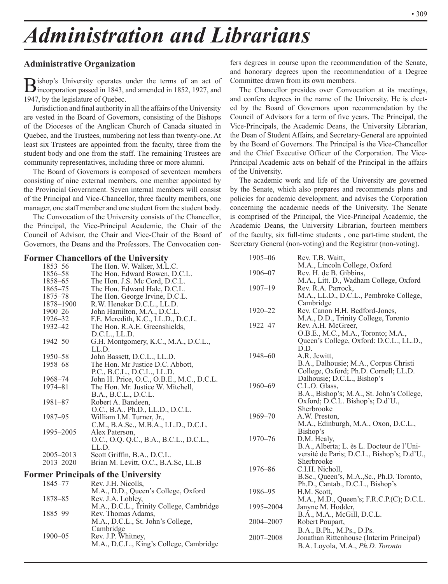# *Administration and Librarians*

# **Administrative Organization**

Bishop's University operates under the terms of an act of incorporation passed in 1843, and amended in 1852, 1927, and 1947, by the legislature of Quebec.

Jurisdiction and final authority in all the affairs of the University are vested in the Board of Governors, consisting of the Bishops of the Dioceses of the Anglican Church of Canada situated in Quebec, and the Trustees, numbering not less than twenty-one. At least six Trustees are appointed from the faculty, three from the student body and one from the staff. The remaining Trustees are community representatives, including three or more alumni.

The Board of Governors is composed of seventeen members consisting of nine external members, one member appointed by the Provincial Government. Seven internal members will consist of the Principal and Vice-Chancellor, three faculty members, one manager, one staff member and one student from the student body.

The Convocation of the University consists of the Chancellor, the Principal, the Vice-Principal Academic, the Chair of the Council of Advisor, the Chair and Vice-Chair of the Board of Governors, the Deans and the Professors. The Convocation confers degrees in course upon the recommendation of the Senate, and honorary degrees upon the recommendation of a Degree Committee drawn from its own members.

The Chancellor presides over Convocation at its meetings, and confers degrees in the name of the University. He is elected by the Board of Governors upon recommendation by the Council of Advisors for a term of five years. The Principal, the Vice-Principals, the Academic Deans, the University Librarian, the Dean of Student Affairs, and Secretary-General are appointed by the Board of Governors. The Principal is the Vice-Chancellor and the Chief Executive Officer of the Corporation. The Vice-Principal Academic acts on behalf of the Principal in the affairs of the University.

The academic work and life of the University are governed by the Senate, which also prepares and recommends plans and policies for academic development, and advises the Corporation concerning the academic needs of the University. The Senate is comprised of the Principal, the Vice-Principal Academic, the Academic Deans, the University Librarian, fourteen members of the faculty, six full-time students , one part-time student, the Secretary General (non-voting) and the Registrar (non-voting).

| <b>Former Chancellors of the University</b> |                                                                                                                                                                                                  | 1905-06                                                                                                                                                                                                                                                                                                                                                                                                                                                                                                                                                                                                                                                                                                                                                                                                                                                                                                                                                        | Rev. T.B. Waitt,                                                                                                                    |
|---------------------------------------------|--------------------------------------------------------------------------------------------------------------------------------------------------------------------------------------------------|----------------------------------------------------------------------------------------------------------------------------------------------------------------------------------------------------------------------------------------------------------------------------------------------------------------------------------------------------------------------------------------------------------------------------------------------------------------------------------------------------------------------------------------------------------------------------------------------------------------------------------------------------------------------------------------------------------------------------------------------------------------------------------------------------------------------------------------------------------------------------------------------------------------------------------------------------------------|-------------------------------------------------------------------------------------------------------------------------------------|
|                                             |                                                                                                                                                                                                  |                                                                                                                                                                                                                                                                                                                                                                                                                                                                                                                                                                                                                                                                                                                                                                                                                                                                                                                                                                | M.A., Lincoln College, Oxford                                                                                                       |
|                                             |                                                                                                                                                                                                  | 1906-07                                                                                                                                                                                                                                                                                                                                                                                                                                                                                                                                                                                                                                                                                                                                                                                                                                                                                                                                                        | Rev. H. de B. Gibbins,                                                                                                              |
|                                             |                                                                                                                                                                                                  |                                                                                                                                                                                                                                                                                                                                                                                                                                                                                                                                                                                                                                                                                                                                                                                                                                                                                                                                                                | M.A., Litt. D., Wadham College, Oxford                                                                                              |
|                                             |                                                                                                                                                                                                  |                                                                                                                                                                                                                                                                                                                                                                                                                                                                                                                                                                                                                                                                                                                                                                                                                                                                                                                                                                | Rev. R.A. Parrock.                                                                                                                  |
|                                             |                                                                                                                                                                                                  |                                                                                                                                                                                                                                                                                                                                                                                                                                                                                                                                                                                                                                                                                                                                                                                                                                                                                                                                                                | M.A., LL.D., D.C.L., Pembroke College,                                                                                              |
|                                             |                                                                                                                                                                                                  |                                                                                                                                                                                                                                                                                                                                                                                                                                                                                                                                                                                                                                                                                                                                                                                                                                                                                                                                                                | Cambridge                                                                                                                           |
|                                             |                                                                                                                                                                                                  | $1920 - 22$                                                                                                                                                                                                                                                                                                                                                                                                                                                                                                                                                                                                                                                                                                                                                                                                                                                                                                                                                    | Rev. Canon H.H. Bedford-Jones,                                                                                                      |
| $1926 - 32$                                 |                                                                                                                                                                                                  |                                                                                                                                                                                                                                                                                                                                                                                                                                                                                                                                                                                                                                                                                                                                                                                                                                                                                                                                                                | M.A., D.D., Trinity College, Toronto                                                                                                |
| 1932-42                                     |                                                                                                                                                                                                  |                                                                                                                                                                                                                                                                                                                                                                                                                                                                                                                                                                                                                                                                                                                                                                                                                                                                                                                                                                | Rev. A.H. McGreer,                                                                                                                  |
|                                             | D.C.L., LL.D.                                                                                                                                                                                    |                                                                                                                                                                                                                                                                                                                                                                                                                                                                                                                                                                                                                                                                                                                                                                                                                                                                                                                                                                | O.B.E., M.C., M.A., Toronto; M.A.,                                                                                                  |
| 1942-50                                     | G.H. Montgomery, K.C., M.A., D.C.L.,                                                                                                                                                             |                                                                                                                                                                                                                                                                                                                                                                                                                                                                                                                                                                                                                                                                                                                                                                                                                                                                                                                                                                | Queen's College, Oxford: D.C.L., LL.D.,                                                                                             |
|                                             | LL.D.                                                                                                                                                                                            |                                                                                                                                                                                                                                                                                                                                                                                                                                                                                                                                                                                                                                                                                                                                                                                                                                                                                                                                                                | D.D.                                                                                                                                |
| 1950-58                                     | John Bassett, D.C.L., LL.D.                                                                                                                                                                      |                                                                                                                                                                                                                                                                                                                                                                                                                                                                                                                                                                                                                                                                                                                                                                                                                                                                                                                                                                | A.R. Jewitt,                                                                                                                        |
| 1958-68                                     | The Hon. Mr Justice D.C. Abbott,                                                                                                                                                                 |                                                                                                                                                                                                                                                                                                                                                                                                                                                                                                                                                                                                                                                                                                                                                                                                                                                                                                                                                                | B.A., Dalhousie; M.A., Corpus Christi                                                                                               |
|                                             | P.C., B.C.L., D.C.L., LL.D.                                                                                                                                                                      |                                                                                                                                                                                                                                                                                                                                                                                                                                                                                                                                                                                                                                                                                                                                                                                                                                                                                                                                                                | College, Oxford; Ph.D. Cornell; LL.D.                                                                                               |
| 1968-74                                     | John H. Price, O.C., O.B.E., M.C., D.C.L.                                                                                                                                                        |                                                                                                                                                                                                                                                                                                                                                                                                                                                                                                                                                                                                                                                                                                                                                                                                                                                                                                                                                                | Dalhousie; D.C.L., Bishop's                                                                                                         |
| 1974-81                                     |                                                                                                                                                                                                  |                                                                                                                                                                                                                                                                                                                                                                                                                                                                                                                                                                                                                                                                                                                                                                                                                                                                                                                                                                | C.L.O. Glass,                                                                                                                       |
|                                             |                                                                                                                                                                                                  |                                                                                                                                                                                                                                                                                                                                                                                                                                                                                                                                                                                                                                                                                                                                                                                                                                                                                                                                                                | B.A., Bishop's; M.A., St. John's College,                                                                                           |
|                                             |                                                                                                                                                                                                  |                                                                                                                                                                                                                                                                                                                                                                                                                                                                                                                                                                                                                                                                                                                                                                                                                                                                                                                                                                | Oxford; D.C.L. Bishop's; D.d'U.,                                                                                                    |
|                                             |                                                                                                                                                                                                  |                                                                                                                                                                                                                                                                                                                                                                                                                                                                                                                                                                                                                                                                                                                                                                                                                                                                                                                                                                | Sherbrooke                                                                                                                          |
|                                             |                                                                                                                                                                                                  |                                                                                                                                                                                                                                                                                                                                                                                                                                                                                                                                                                                                                                                                                                                                                                                                                                                                                                                                                                | A.W. Preston.                                                                                                                       |
|                                             |                                                                                                                                                                                                  |                                                                                                                                                                                                                                                                                                                                                                                                                                                                                                                                                                                                                                                                                                                                                                                                                                                                                                                                                                | M.A., Edinburgh, M.A., Oxon, D.C.L.,                                                                                                |
|                                             |                                                                                                                                                                                                  |                                                                                                                                                                                                                                                                                                                                                                                                                                                                                                                                                                                                                                                                                                                                                                                                                                                                                                                                                                | Bishop's                                                                                                                            |
|                                             |                                                                                                                                                                                                  |                                                                                                                                                                                                                                                                                                                                                                                                                                                                                                                                                                                                                                                                                                                                                                                                                                                                                                                                                                | D.M. Healy,                                                                                                                         |
|                                             |                                                                                                                                                                                                  |                                                                                                                                                                                                                                                                                                                                                                                                                                                                                                                                                                                                                                                                                                                                                                                                                                                                                                                                                                | B.A., Alberta; L. ès L. Docteur de l'Uni-                                                                                           |
|                                             |                                                                                                                                                                                                  |                                                                                                                                                                                                                                                                                                                                                                                                                                                                                                                                                                                                                                                                                                                                                                                                                                                                                                                                                                | versité de Paris; D.C.L., Bishop's; D.d'U.,                                                                                         |
|                                             |                                                                                                                                                                                                  |                                                                                                                                                                                                                                                                                                                                                                                                                                                                                                                                                                                                                                                                                                                                                                                                                                                                                                                                                                | Sherbrooke                                                                                                                          |
|                                             |                                                                                                                                                                                                  |                                                                                                                                                                                                                                                                                                                                                                                                                                                                                                                                                                                                                                                                                                                                                                                                                                                                                                                                                                | C.I.H. Nicholl,<br>B.Sc., Queen's, M.A., Sc., Ph.D. Toronto,                                                                        |
|                                             |                                                                                                                                                                                                  |                                                                                                                                                                                                                                                                                                                                                                                                                                                                                                                                                                                                                                                                                                                                                                                                                                                                                                                                                                | Ph.D., Cantab., D.C.L., Bishop's                                                                                                    |
|                                             |                                                                                                                                                                                                  |                                                                                                                                                                                                                                                                                                                                                                                                                                                                                                                                                                                                                                                                                                                                                                                                                                                                                                                                                                | H.M. Scott,                                                                                                                         |
|                                             |                                                                                                                                                                                                  |                                                                                                                                                                                                                                                                                                                                                                                                                                                                                                                                                                                                                                                                                                                                                                                                                                                                                                                                                                | M.A., M.D., Queen's; F.R.C.P.(C); D.C.L.                                                                                            |
|                                             |                                                                                                                                                                                                  |                                                                                                                                                                                                                                                                                                                                                                                                                                                                                                                                                                                                                                                                                                                                                                                                                                                                                                                                                                | Janyne M. Hodder,                                                                                                                   |
|                                             |                                                                                                                                                                                                  |                                                                                                                                                                                                                                                                                                                                                                                                                                                                                                                                                                                                                                                                                                                                                                                                                                                                                                                                                                | B.A., M.A., McGill, D.C.L.                                                                                                          |
|                                             |                                                                                                                                                                                                  |                                                                                                                                                                                                                                                                                                                                                                                                                                                                                                                                                                                                                                                                                                                                                                                                                                                                                                                                                                | Robert Poupart,                                                                                                                     |
|                                             |                                                                                                                                                                                                  |                                                                                                                                                                                                                                                                                                                                                                                                                                                                                                                                                                                                                                                                                                                                                                                                                                                                                                                                                                | B.A., B.Ph., M.Ps., D.Ps.                                                                                                           |
|                                             |                                                                                                                                                                                                  |                                                                                                                                                                                                                                                                                                                                                                                                                                                                                                                                                                                                                                                                                                                                                                                                                                                                                                                                                                | Jonathan Rittenhouse (Interim Principal)                                                                                            |
|                                             |                                                                                                                                                                                                  |                                                                                                                                                                                                                                                                                                                                                                                                                                                                                                                                                                                                                                                                                                                                                                                                                                                                                                                                                                | B.A. Loyola, M.A., Ph.D. Toronto                                                                                                    |
|                                             |                                                                                                                                                                                                  |                                                                                                                                                                                                                                                                                                                                                                                                                                                                                                                                                                                                                                                                                                                                                                                                                                                                                                                                                                |                                                                                                                                     |
|                                             | 1853-56<br>1856–58<br>1858-65<br>1865-75<br>1875-78<br>1878-1900<br>$1900 - 26$<br>$1981 - 87$<br>1987-95<br>1995-2005<br>2005-2013<br>2013-2020<br>1845-77<br>1878-85<br>1885-99<br>$1900 - 05$ | The Hon. W. Walker, M.L.C.<br>The Hon. Edward Bowen, D.C.L.<br>The Hon. J.S. Mc Cord, D.C.L.<br>The Hon. Edward Hale, D.C.L.<br>The Hon. George Irvine, D.C.L.<br>R.W. Heneker D.C.L., LL.D.<br>John Hamilton, M.A., D.C.L.<br>F.E. Meredith, K.C., LL.D., D.C.L.<br>The Hon. R.A.E. Greenshields,<br>The Hon. Mr. Justice W. Mitchell,<br>B.A., B.C.L., D.C.L.<br>Robert A. Bandeen,<br>O.C., B.A., Ph.D., LL.D., D.C.L.<br>William I.M. Turner, Jr.,<br>C.M., B.A.Sc., M.B.A., LL.D., D.C.L.<br>Alex Paterson,<br>O.C., O.Q. Q.C., B.A., B.C.L., D.C.L.,<br>LL.D.<br>Scott Griffin, B.A., D.C.L.<br>Brian M. Levitt, O.C., B.A.Sc, LL.B<br><b>Former Principals of the University</b><br>Rev. J.H. Nicolls,<br>M.A., D.D., Queen's College, Oxford<br>Rev. J.A. Lobley,<br>M.A., D.C.L., Trinity College, Cambridge<br>Rev. Thomas Adams,<br>M.A., D.C.L., St. John's College,<br>Cambridge<br>Rev. J.P. Whitney,<br>M.A., D.C.L., King's College, Cambridge | $1907 - 19$<br>1922-47<br>1948-60<br>1960-69<br>1969-70<br>$1970 - 76$<br>1976-86<br>1986-95<br>1995-2004<br>2004-2007<br>2007-2008 |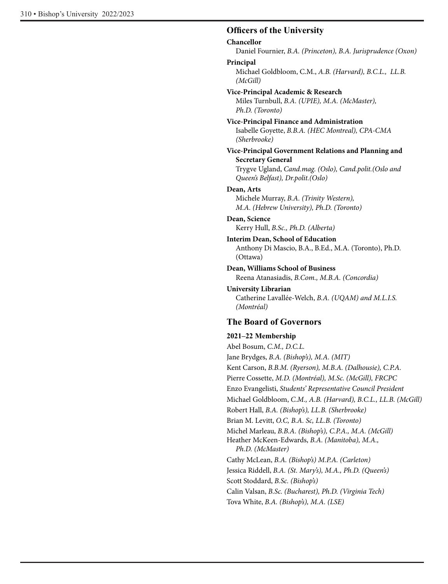#### **Officers of the University**

#### **Chancellor**

Daniel Fournier, *B.A. (Princeton), B.A. Jurisprudence (Oxon)*

#### **Principal**

Michael Goldbloom, C.M., *A.B. (Harvard), B.C.L., LL.B. (McGill)*

#### **Vice-Principal Academic & Research**

Miles Turnbull, *B.A. (UPIE), M.A. (McMaster), Ph.D. (Toronto)*

#### **Vice-Principal Finance and Administration** Isabelle Goyette, *B.B.A. (HEC Montreal), CPA-CMA (Sherbrooke)*

#### **Vice-Principal Government Relations and Planning and Secretary General**

Trygve Ugland, *Cand.mag. (Oslo), Cand.polit.(Oslo and Queen's Belfast), Dr.polit.(Oslo)*

#### **Dean, Arts**

Michele Murray, *B.A. (Trinity Western), M.A. (Hebrew University), Ph.D. (Toronto)*

#### **Dean, Science**

Kerry Hull, *B.Sc., Ph.D. (Alberta)*

#### **Interim Dean, School of Education**

Anthony Di Mascio, B.A., B.Ed., M.A. (Toronto), Ph.D. (Ottawa)

#### **Dean, Williams School of Business**

Reena Atanasiadis, *B.Com., M.B.A. (Concordia)* 

#### **University Librarian** Catherine Lavallée-Welch, *B.A. (UQAM) and M.L.I.S. (Montréal)*

## **The Board of Governors**

#### **2021–22 Membership**

Abel Bosum, *C.M., D.C.L.*  Jane Brydges, *B.A. (Bishop's), M.A. (MIT)* Kent Carson, *B.B.M. (Ryerson), M.B.A. (Dalhousie), C.P.A.* Pierre Cossette, *M.D. (Montréal), M.Sc. (McGill), FRCPC* Enzo Evangelisti, *Students' Representative Council President* Michael Goldbloom, *C.M., A.B. (Harvard), B.C.L., LL.B. (McGill)* Robert Hall, *B.A. (Bishop's), LL.B. (Sherbrooke)*  Brian M. Levitt, *O.C, B.A. Sc, LL.B. (Toronto)*  Michel Marleau, *B.B.A. (Bishop's), C.P.A., M.A. (McGill)*  Heather McKeen-Edwards, *B.A. (Manitoba), M.A., Ph.D. (McMaster)* Cathy McLean, *B.A. (Bishop's) M.P.A. (Carleton)*  Jessica Riddell, *B.A. (St. Mary's), M.A., Ph.D. (Queen's)* Scott Stoddard, *B.Sc. (Bishop's)* Calin Valsan, *B.Sc. (Bucharest), Ph.D. (Virginia Tech)* Tova White, *B.A. (Bishop's), M.A. (LSE)*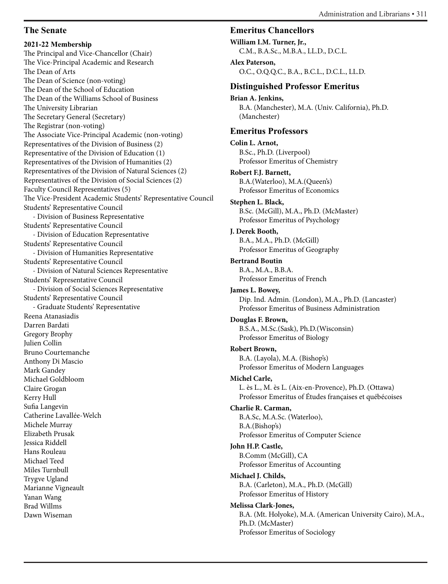# **The Senate**

**2021-22 Membership** The Principal and Vice-Chancellor (Chair) The Vice-Principal Academic and Research The Dean of Arts The Dean of Science (non-voting) The Dean of the School of Education The Dean of the Williams School of Business The University Librarian The Secretary General (Secretary) The Registrar (non-voting) The Associate Vice-Principal Academic (non-voting) Representatives of the Division of Business (2) Representative of the Division of Education (1) Representatives of the Division of Humanities (2) Representatives of the Division of Natural Sciences (2) Representatives of the Division of Social Sciences (2) Faculty Council Representatives (5) The Vice-President Academic Students' Representative Council Students' Representative Council - Division of Business Representative Students' Representative Council - Division of Education Representative Students' Representative Council - Division of Humanities Representative Students' Representative Council - Division of Natural Sciences Representative Students' Representative Council - Division of Social Sciences Representative Students' Representative Council - Graduate Students' Representative Reena Atanasiadis Darren Bardati Gregory Brophy Julien Collin Bruno Courtemanche Anthony Di Mascio Mark Gandey Michael Goldbloom Claire Grogan Kerry Hull Sufia Langevin Catherine Lavallée-Welch Michele Murray Elizabeth Prusak Jessica Riddell Hans Rouleau Michael Teed Miles Turnbull Trygve Ugland Marianne Vigneault Yanan Wang Brad Willms Dawn Wiseman

# **Emeritus Chancellors**

**William I.M. Turner, Jr.,**  C.M., B.A.Sc., M.B.A., LL.D., D.C.L.

#### **Alex Paterson,**

O.C., O.Q.Q.C., B.A., B.C.L., D.C.L., LL.D.

# **Distinguished Professor Emeritus**

**Brian A. Jenkins,**  B.A. (Manchester), M.A. (Univ. California), Ph.D. (Manchester)

# **Emeritus Professors**

**Colin L. Arnot,**  B.Sc., Ph.D. (Liverpool) Professor Emeritus of Chemistry

**Robert F.J. Barnett,** B.A.(Waterloo), M.A.(Queen's) Professor Emeritus of Economics

#### **Stephen L. Black,** B.Sc. (McGill), M.A., Ph.D. (McMaster)

Professor Emeritus of Psychology

#### **J. Derek Booth,** B.A., M.A., Ph.D. (McGill) Professor Emeritus of Geography

#### **Bertrand Boutin**

B.A., M.A., B.B.A. Professor Emeritus of French

#### **James L. Bowey,**

Dip. Ind. Admin. (London), M.A., Ph.D. (Lancaster) Professor Emeritus of Business Administration

## **Douglas F. Brown,**

B.S.A., M.Sc.(Sask), Ph.D.(Wisconsin) Professor Emeritus of Biology

## **Robert Brown,**

B.A. (Layola), M.A. (Bishop's) Professor Emeritus of Modern Languages

## **Michel Carle,**

L. ès L., M. ès L. (Aix-en-Provence), Ph.D. (Ottawa) Professor Emeritus of Études françaises et québécoises

#### **Charlie R. Carman,**

B.A.Sc, M.A.Sc. (Waterloo), B.A.(Bishop's) Professor Emeritus of Computer Science

## **John H.P. Castle,**

B.Comm (McGill), CA Professor Emeritus of Accounting

#### **Michael J. Childs,**

B.A. (Carleton), M.A., Ph.D. (McGill) Professor Emeritus of History

## **Melissa Clark-Jones,**

B.A. (Mt. Holyoke), M.A. (American University Cairo), M.A., Ph.D. (McMaster) Professor Emeritus of Sociology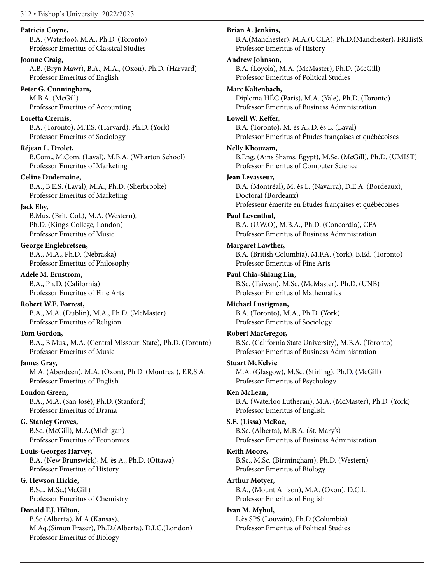#### **Patricia Coyne,**

B.A. (Waterloo), M.A., Ph.D. (Toronto) Professor Emeritus of Classical Studies

#### **Joanne Craig,**

A.B. (Bryn Mawr), B.A., M.A., (Oxon), Ph.D. (Harvard) Professor Emeritus of English

#### **Peter G. Cunningham,**

M.B.A. (McGill) Professor Emeritus of Accounting

## **Loretta Czernis,**

B.A. (Toronto), M.T.S. (Harvard), Ph.D. (York) Professor Emeritus of Sociology

## **Réjean L. Drolet,**

B.Com., M.Com. (Laval), M.B.A. (Wharton School) Professor Emeritus of Marketing

# **Celine Dudemaine,**

B.A., B.E.S. (Laval), M.A., Ph.D. (Sherbrooke) Professor Emeritus of Marketing

# **Jack Eby,**

B.Mus. (Brit. Col.), M.A. (Western), Ph.D. (King's College, London) Professor Emeritus of Music

# **George Englebretsen,**

B.A., M.A., Ph.D. (Nebraska) Professor Emeritus of Philosophy

# **Adele M. Ernstrom,**

B.A., Ph.D. (California) Professor Emeritus of Fine Arts

# **Robert W.E. Forrest,**

B.A., M.A. (Dublin), M.A., Ph.D. (McMaster) Professor Emeritus of Religion

# **Tom Gordon,**

B.A., B.Mus., M.A. (Central Missouri State), Ph.D. (Toronto) Professor Emeritus of Music

## **James Gray,**

M.A. (Aberdeen), M.A. (Oxon), Ph.D. (Montreal), F.R.S.A. Professor Emeritus of English

## **London Green,**

B.A., M.A. (San José), Ph.D. (Stanford) Professor Emeritus of Drama

# **G. Stanley Groves,**

B.Sc. (McGill), M.A.(Michigan) Professor Emeritus of Economics

## **Louis-Georges Harvey,**

B.A. (New Brunswick), M. ès A., Ph.D. (Ottawa) Professor Emeritus of History

## **G. Hewson Hickie,**

B.Sc., M.Sc.(McGill) Professor Emeritus of Chemistry

# **Donald F.J. Hilton,**

B.Sc.(Alberta), M.A.(Kansas), M.Aq.(Simon Fraser), Ph.D.(Alberta), D.I.C.(London) Professor Emeritus of Biology

#### **Brian A. Jenkins,**

B.A.(Manchester), M.A.(UCLA), Ph.D.(Manchester), FRHistS. Professor Emeritus of History

#### **Andrew Johnson,**

B.A. (Loyola), M.A. (McMaster), Ph.D. (McGill) Professor Emeritus of Political Studies

#### **Marc Kaltenbach,**

Diploma HÉC (Paris), M.A. (Yale), Ph.D. (Toronto) Professor Emeritus of Business Administration

#### **Lowell W. Keffer,**

B.A. (Toronto), M. ès A., D. ès L. (Laval) Professor Emeritus of Études françaises et québécoises

#### **Nelly Khouzam,**

B.Eng. (Ains Shams, Egypt), M.Sc. (McGill), Ph.D. (UMIST) Professor Emeritus of Computer Science

#### **Jean Levasseur,**

B.A. (Montréal), M. ès L. (Navarra), D.E.A. (Bordeaux), Doctorat (Bordeaux) Professeur émérite en Études françaises et québécoises

## **Paul Leventhal,**

B.A. (U.W.O), M.B.A., Ph.D. (Concordia), CFA Professor Emeritus of Business Administration

#### **Margaret Lawther,**

B.A. (British Columbia), M.F.A. (York), B.Ed. (Toronto) Professor Emeritus of Fine Arts

## **Paul Chia-Shiang Lin,**

B.Sc. (Taiwan), M.Sc. (McMaster), Ph.D. (UNB) Professor Emeritus of Mathematics

## **Michael Lustigman,**

B.A. (Toronto), M.A., Ph.D. (York) Professor Emeritus of Sociology

## **Robert MacGregor,**

B.Sc. (California State University), M.B.A. (Toronto) Professor Emeritus of Business Administration

## **Stuart McKelvie**

M.A. (Glasgow), M.Sc. (Stirling), Ph.D. (McGill) Professor Emeritus of Psychology

## **Ken McLean,**

B.A. (Waterloo Lutheran), M.A. (McMaster), Ph.D. (York) Professor Emeritus of English

## **S.E. (Lissa) McRae,**

B.Sc. (Alberta), M.B.A. (St. Mary's) Professor Emeritus of Business Administration

#### **Keith Moore,**

B.Sc., M.Sc. (Birmingham), Ph.D. (Western) Professor Emeritus of Biology

#### **Arthur Motyer,**

B.A., (Mount Allison), M.A. (Oxon), D.C.L. Professor Emeritus of English

## **Ivan M. Myhul,**

L.ès SPS (Louvain), Ph.D.(Columbia) Professor Emeritus of Political Studies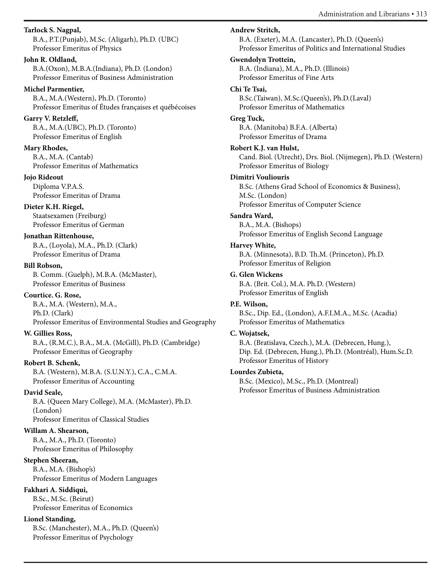**Tarlock S. Nagpal,** 

B.A., P.T.(Punjab), M.Sc. (Aligarh), Ph.D. (UBC) Professor Emeritus of Physics

#### **John R. Oldland,**

B.A.(Oxon), M.B.A.(Indiana), Ph.D. (London) Professor Emeritus of Business Administration

#### **Michel Parmentier,**

B.A., M.A.(Western), Ph.D. (Toronto) Professor Emeritus of Études françaises et québécoises

## **Garry V. Retzleff,**

B.A., M.A.(UBC), Ph.D. (Toronto) Professor Emeritus of English

#### **Mary Rhodes,**

B.A., M.A. (Cantab) Professor Emeritus of Mathematics

#### **Jojo Rideout**

Diploma V.P.A.S. Professor Emeritus of Drama

## **Dieter K.H. Riegel,**

Staatsexamen (Freiburg) Professor Emeritus of German

## **Jonathan Rittenhouse,**

B.A., (Loyola), M.A., Ph.D. (Clark) Professor Emeritus of Drama

#### **Bill Robson,**

B. Comm. (Guelph), M.B.A. (McMaster), Professor Emeritus of Business

## **Courtice. G. Rose,**

B.A., M.A. (Western), M.A., Ph.D. (Clark)

Professor Emeritus of Environmental Studies and Geography

## **W. Gillies Ross,**

B.A., (R.M.C.), B.A., M.A. (McGill), Ph.D. (Cambridge) Professor Emeritus of Geography

## **Robert B. Schenk,**

B.A. (Western), M.B.A. (S.U.N.Y.), C.A., C.M.A. Professor Emeritus of Accounting

## **David Seale,**

B.A. (Queen Mary College), M.A. (McMaster), Ph.D. (London) Professor Emeritus of Classical Studies

# **Willam A. Shearson,**

B.A., M.A., Ph.D. (Toronto) Professor Emeritus of Philosophy

# **Stephen Sheeran,**

B.A., M.A. (Bishop's) Professor Emeritus of Modern Languages

# **Fakhari A. Siddiqui,**

B.Sc., M.Sc. (Beirut) Professor Emeritus of Economics

# **Lionel Standing,**

B.Sc. (Manchester), M.A., Ph.D. (Queen's) Professor Emeritus of Psychology

# **Andrew Stritch,**

B.A. (Exeter), M.A. (Lancaster), Ph.D. (Queen's) Professor Emeritus of Politics and International Studies

# **Gwendolyn Trottein,**

B.A. (Indiana), M.A., Ph.D. (Illinois) Professor Emeritus of Fine Arts

#### **Chi Te Tsai,**

B.Sc.(Taiwan), M.Sc.(Queen's), Ph.D.(Laval) Professor Emeritus of Mathematics

## **Greg Tuck,**

B.A. (Manitoba) B.F.A. (Alberta) Professor Emeritus of Drama

## **Robert K.J. van Hulst,**

Cand. Biol. (Utrecht), Drs. Biol. (Nijmegen), Ph.D. (Western) Professor Emeritus of Biology

## **Dimitri Vouliouris**

B.Sc. (Athens Grad School of Economics & Business), M.Sc. (London) Professor Emeritus of Computer Science

#### **Sandra Ward,**

B.A., M.A. (Bishops) Professor Emeritus of English Second Language

## **Harvey White,**

B.A. (Minnesota), B.D. Th.M. (Princeton), Ph.D. Professor Emeritus of Religion

# **G. Glen Wickens**

B.A. (Brit. Col.), M.A. Ph.D. (Western) Professor Emeritus of English

#### **P.E. Wilson,**

B.Sc., Dip. Ed., (London), A.F.I.M.A., M.Sc. (Acadia) Professor Emeritus of Mathematics

#### **C. Wojatsek,**

B.A. (Bratislava, Czech.), M.A. (Debrecen, Hung.), Dip. Ed. (Debrecen, Hung.), Ph.D. (Montréal), Hum.Sc.D. Professor Emeritus of History

#### **Lourdes Zubieta,**

B.Sc. (Mexico), M.Sc., Ph.D. (Montreal) Professor Emeritus of Business Administration